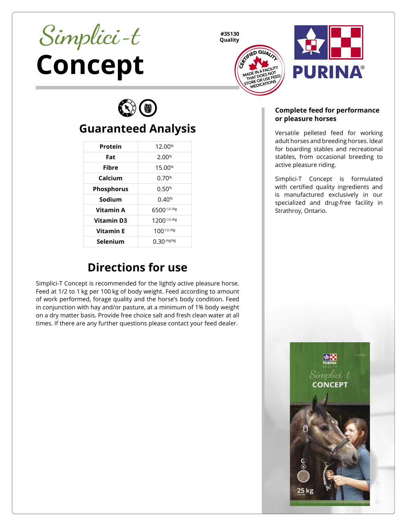# **Concept**

**#35130 Quality**





 $\mathbb{C}(\mathbb{C})$ 

# **Guaranteed Analysis**

| Protein           | 12.00 <sup>%</sup> |
|-------------------|--------------------|
| Fat               | 2.00%              |
| Fibre             | 15.00%             |
| Calcium           | 0.70%              |
| <b>Phosphorus</b> | 0.50%              |
| Sodium            | 0.40%              |
| Vitamin A         | 6500 I.U./kg       |
| <b>Vitamin D3</b> | 1200 I.U./kg       |
| <b>Vitamin F</b>  | 100 I.U./kg        |
| Selenium          | $0.30$ mg/kg       |

## **Directions for use**

Simplici-T Concept is recommended for the lightly active pleasure horse. Feed at 1/2 to 1 kg per 100 kg of body weight. Feed according to amount of work performed, forage quality and the horse's body condition. Feed in conjunction with hay and/or pasture, at a minimum of 1% body weight on a dry matter basis. Provide free choice salt and fresh clean water at all times. If there are any further questions please contact your feed dealer.

### **Complete feed for performance or pleasure horses**

Versatile pelleted feed for working adult horses and breeding horses. Ideal for boarding stables and recreational stables, from occasional breeding to active pleasure riding.

Simplici-T Concept is formulated with certified quality ingredients and is manufactured exclusively in our specialized and drug-free facility in Strathroy, Ontario.